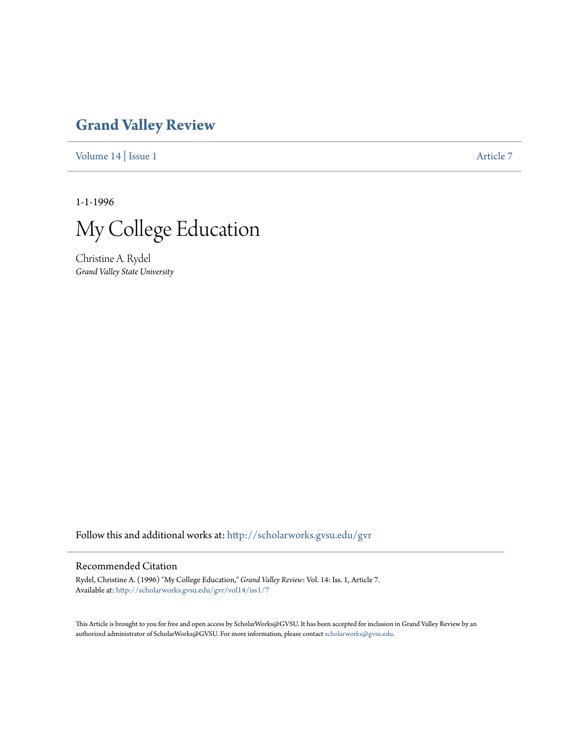## **[Grand Valley Review](http://scholarworks.gvsu.edu/gvr?utm_source=scholarworks.gvsu.edu%2Fgvr%2Fvol14%2Fiss1%2F7&utm_medium=PDF&utm_campaign=PDFCoverPages)**

[Volume 14](http://scholarworks.gvsu.edu/gvr/vol14?utm_source=scholarworks.gvsu.edu%2Fgvr%2Fvol14%2Fiss1%2F7&utm_medium=PDF&utm_campaign=PDFCoverPages) | [Issue 1](http://scholarworks.gvsu.edu/gvr/vol14/iss1?utm_source=scholarworks.gvsu.edu%2Fgvr%2Fvol14%2Fiss1%2F7&utm_medium=PDF&utm_campaign=PDFCoverPages) [Article 7](http://scholarworks.gvsu.edu/gvr/vol14/iss1/7?utm_source=scholarworks.gvsu.edu%2Fgvr%2Fvol14%2Fiss1%2F7&utm_medium=PDF&utm_campaign=PDFCoverPages)

1-1-1996



Christine A. Rydel *Grand Valley State University*

Follow this and additional works at: [http://scholarworks.gvsu.edu/gvr](http://scholarworks.gvsu.edu/gvr?utm_source=scholarworks.gvsu.edu%2Fgvr%2Fvol14%2Fiss1%2F7&utm_medium=PDF&utm_campaign=PDFCoverPages)

## Recommended Citation

Rydel, Christine A. (1996) "My College Education," *Grand Valley Review*: Vol. 14: Iss. 1, Article 7. Available at: [http://scholarworks.gvsu.edu/gvr/vol14/iss1/7](http://scholarworks.gvsu.edu/gvr/vol14/iss1/7?utm_source=scholarworks.gvsu.edu%2Fgvr%2Fvol14%2Fiss1%2F7&utm_medium=PDF&utm_campaign=PDFCoverPages)

This Article is brought to you for free and open access by ScholarWorks@GVSU. It has been accepted for inclusion in Grand Valley Review by an authorized administrator of ScholarWorks@GVSU. For more information, please contact [scholarworks@gvsu.edu.](mailto:scholarworks@gvsu.edu)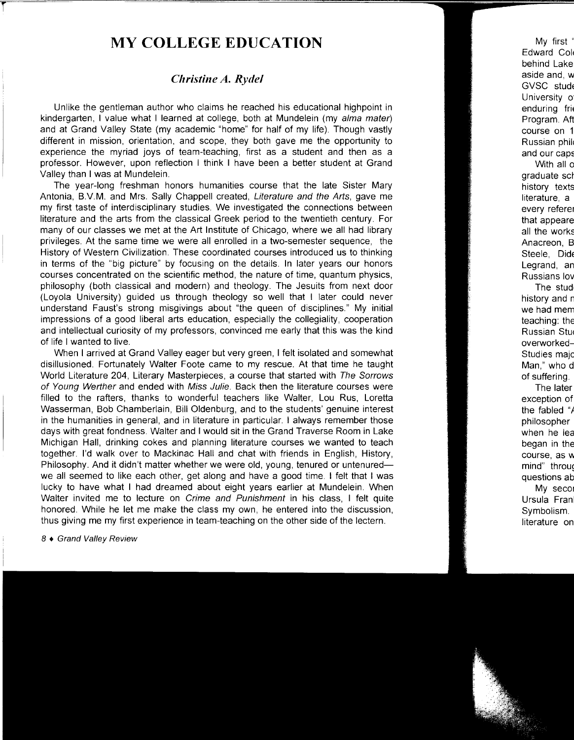## **MY COLLEGE EDUCATION**

## *Christine A. Rydel*

Unlike the gentleman author who claims he reached his educational highpoint in kindergarten, I value what I learned at college, both at Mundelein (my alma mater) and at Grand Valley State (my academic "home" for half of my life). Though vastly different in mission, orientation, and scope, they both gave me the opportunity to experience the myriad joys of team-teaching, first as a student and then as a professor. However, upon reflection I think I have been a better student at Grand Valley than I was at Mundelein.

The year-long freshman honors humanities course that the late Sister Mary Antonia, B.V.M. and Mrs. Sally Chappell created, Literature and the Arts, gave me my first taste of interdisciplinary studies. We investigated the connections between literature and the arts from the classical Greek period to the twentieth century. For many of our classes we met at the Art Institute of Chicago, where we all had library privileges. At the same time we were all enrolled in a two-semester sequence, the History of Western Civilization. These coordinated courses introduced us to thinking in terms of the "big picture" by focusing on the details. In later years our honors courses concentrated on the scientific method, the nature of time, quantum physics, philosophy (both classical and modern) and theology. The Jesuits from next door (Loyola University) guided us through theology so well that I later could never understand Faust's strong misgivings about "the queen of disciplines." My initial impressions of a good liberal arts education, especially the collegiality, cooperation and intellectual curiosity of my professors, convinced me early that this was the kind of life I wanted to live.

When I arrived at Grand Valley eager but very green, I felt isolated and somewhat disillusioned. Fortunately Walter Foote came to my rescue. At that time he taught World Literature 204, Literary Masterpieces, a course that started with The Sorrows of Young Werther and ended with Miss Julie. Back then the literature courses were filled to the rafters, thanks to wonderful teachers like Walter, Lou Rus, Loretta Wasserman, Bob Chamberlain, Bill Oldenburg, and to the students' genuine interest in the humanities in general, and in literature in particular. I always remember those days with great fondness. Walter and I would sit in the Grand Traverse Room in Lake Michigan Hall, drinking cokes and planning literature courses we wanted to teach together. I'd walk over to Mackinac Hall and chat with friends in English, History, Philosophy. And it didn't matter whether we were old, young, tenured or untenuredwe all seemed to like each other, get along and have a good time. I felt that I was lucky to have what I had dreamed about eight years earlier at Mundelein. When Walter invited me to lecture on Crime and Punishment in his class, I felt quite honored. While he let me make the class my own, he entered into the discussion, thus giving me my first experience in team-teaching on the other side of the lectern.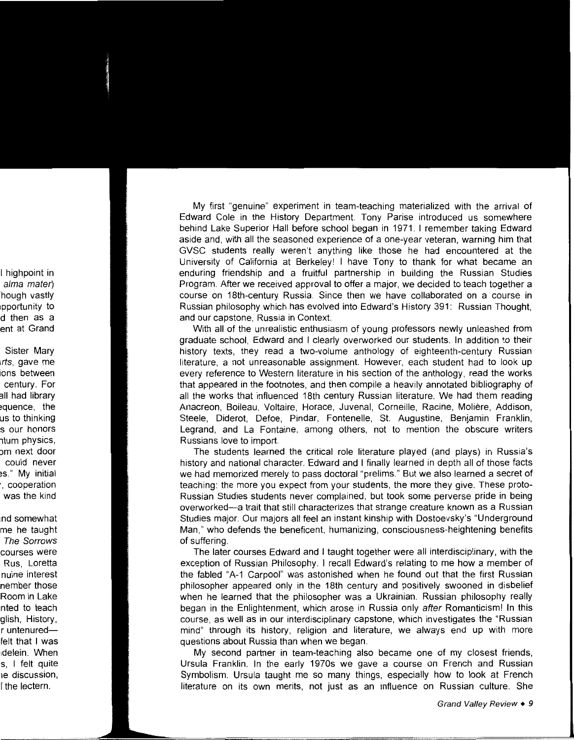My first "genuine" experiment in team-teaching materialized with the arrival of Edward Cole in the History Department. Tony Parise introduced us somewhere behind Lake Superior Hall before school began in 1971. I remember taking Edward aside and, with all the seasoned experience of a one-year veteran, warning him that GVSC students really weren't anything like those he had encountered at the University of California at Berkeley! I have Tony to thank for what became an enduring friendship and a fruitful partnership in building the Russian Studies Program. After we received approval to offer a major, we decided to teach together a course on 18th-century Russia. Since then we have collaborated on a course in Russian philosophy which has evolved into Edward's History 391: Russian Thought, and our capstone, Russia in Context.

With all of the unrealistic enthusiasm of young professors newly unleashed from graduate school, Edward and I clearly overworked our students. In addition to their history texts, they read a two-volume anthology of eighteenth-century Russian literature, a not unreasonable assignment. However, each student had to look up every reference to Western literature in his section of the anthology, read the works that appeared in the footnotes, and then compile a heavily annotated bibliography of all the works that influenced 18th century Russian literature. We had them reading Anacreon, Boileau, Voltaire, Horace, Juvenal, Corneille, Racine, Moliere, Addison, Steele, Diderot, Defoe, Pindar, Fontenelle, St. Augustine, Benjamin Franklin, Legrand, and La Fontaine, among others, not to mention the obscure writers Russians love to import.

The students learned the critical role literature played (and plays) in Russia's history and national character. Edward and I finally learned in depth all of those facts we had memorized merely to pass doctoral "prelims." But we also learned a secret of teaching: the more you expect from your students, the more they give. These proto-Russian Studies students never complained, but took some perverse pride in being overworked-a trait that still characterizes that strange creature known as a Russian Studies major. Our majors all feel an instant kinship with Dostoevsky's "Underground Man," who defends the beneficent, humanizing, consciousness-heightening benefits of suffering.

The later courses Edward and I taught together were all interdisciplinary, with the exception of Russian Philosophy. I recall Edward's relating to me how a member of the fabled "A-1 Carpool" was astonished when he found out that the first Russian philosopher appeared only in the 18th century and positively swooned in disbelief when he learned that the philosopher was a Ukrainian. Russian philosophy really began in the Enlightenment, which arose in Russia only after Romanticism! In this course, as well as in our interdisciplinary capstone, which investigates the "Russian mind" through its history, religion and literature, we always end up with more questions about Russia than when we began.

My second partner in team-teaching also became one of my closest friends, Ursula Franklin. In the early 1970s we gave a course on French and Russian Symbolism. Ursula taught me so many things, especially how to look at French literature on its own merits, not just as an influence on Russian culture. She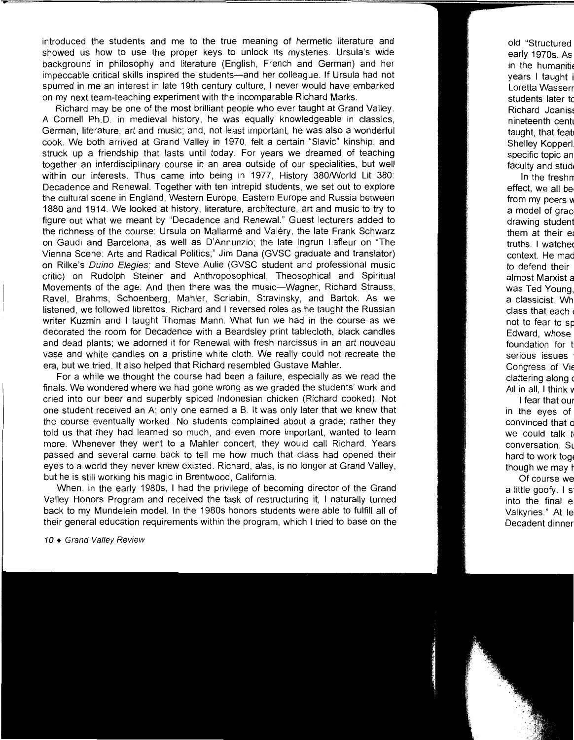introduced the students and me to the true meaning of hermetic literature and showed us how to use the proper keys to unlock its mysteries. Ursula's wide background in philosophy and literature (English, French and German) and her impeccable critical skills inspired the students-and her colleague. If Ursula had not spurred in me an interest in late 19th century culture, I never would have embarked on my next team-teaching experiment with the incomparable Richard Marks.

Richard may be one of the most brilliant people who ever taught at Grand Valley. A Cornell Ph.D. in medieval history, he was equally knowledgeable in classics, German, literature, art and music; and, not least important, he was also a wonderful cook. We both arrived at Grand Valley in 1970, felt a certain "Slavic" kinship, and struck up a friendship that lasts until today. For years we dreamed of teaching together an interdisciplinary course in an area outside of our specialities, but well within our interests. Thus came into being in 1977, History 380/World Lit 380: Decadence and Renewal. Together with ten intrepid students, we set out to explore the cultural scene in England, Western Europe, Eastern Europe and Russia between 1880 and 1914. We looked at history, literature, architecture, art and music to try to figure out what we meant by "Decadence and Renewal." Guest lecturers added to the richness of the course: Ursula on Mallarme and Valery, the late Frank Schwarz on Gaudi and Barcelona, as well as D'Annunzio; the late lngrun Lafleur on "The Vienna Scene: Arts and Radical Politics;" Jim Dana (GVSC graduate and translator) on Rilke's Ouino Elegies; and Steve Aulie (GVSC student and professional music critic) on Rudolph Steiner and Anthroposophical, Theosophical and Spiritual Movements of the age. And then there was the music-Wagner, Richard Strauss, Ravel, Brahms, Schoenberg, Mahler, Scriabin, Stravinsky, and Bartok. As we listened, we followed librettos. Richard and I reversed roles as he taught the Russian writer Kuzmin and I taught Thomas Mann. What fun we had in the course as we decorated the room for Decadence with a Beardsley print tablecloth, black candles and dead plants; we adorned it for Renewal with fresh narcissus in an art nouveau vase and white candles on a pristine white cloth. We really could not recreate the era, but we tried. It also helped that Richard resembled Gustave Mahler.

For a while we thought the course had been a failure, especially as we read the finals. We wondered where we had gone wrong as we graded the students' work and cried into our beer and superbly spiced Indonesian chicken (Richard cooked). Not one student received an A; only one earned a B. It was only later that we knew that the course eventually worked. No students complained about a grade; rather they told us that they had learned so much, and even more important, wanted to learn more. Whenever they went to a Mahler concert, they would call Richard. Years passed and several came back to tell me how much that class had opened their eyes to a world they never knew existed. Richard, alas, is no longer at Grand Valley, but he is still working his magic in Brentwood, California.

When, in the early 1980s, I had the privilege of becoming director of the Grand Valley Honors Program and received the task of restructuring it, I naturally turned back to my Mundelein model. In the 1980s honors students were able to fulfill all of their general education requirements within the program, which I tried to base on the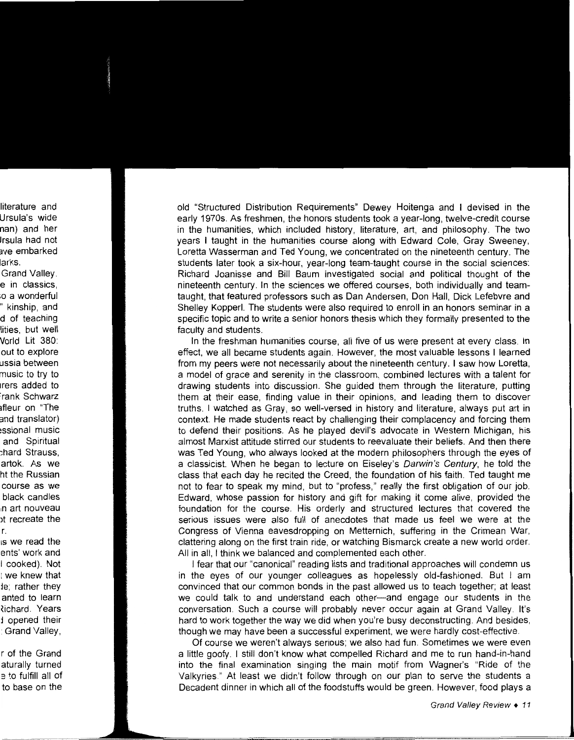old "Structured Distribution Requirements" Dewey Hoitenga and I devised in the early 1970s. As freshmen, the honors students took a year-long, twelve-credit course in the humanities, which included history, literature, art, and philosophy. The two years I taught in the humanities course along with Edward Cole, Gray Sweeney, Loretta Wasserman and Ted Young, we concentrated on the nineteenth century. The students later took a six-hour, year-long team-taught course in the social sciences: Richard Joanisse and Bill Baum investigated social and political thought of the nineteenth century. In the sciences we offered courses, both individually and teamtaught, that featured professors such as Dan Andersen, Don Hall, Dick Lefebvre and Shelley Kopperl. The students were also required to enroll in an honors seminar in a specific topic and to write a senior honors thesis which they formally presented to the faculty and students.

In the freshman humanities course, all five of us were present at every class. In effect, we all became students again. However, the most valuable lessons I learned from my peers were not necessarily about the nineteenth century. I saw how Loretta, a model of grace and serenity in the classroom, combined lectures with a talent for drawing students into discussion. She guided them through the literature, putting them at their ease, finding value in their opinions, and leading them to discover truths. I watched as Gray, so well-versed in history and literature, always put art in context. He made students react by challenging their complacency and forcing them to defend their positions. As he played devil's advocate in Western Michigan, his almost Marxist attitude stirred our students to reevaluate their beliefs. And then there was Ted Young, who always looked at the modern philosophers through the eyes of a classicist. When he began to lecture on Eiseley's Darwin's Century, he told the class that each day he recited the Creed, the foundation of his faith. Ted taught me not to fear to speak my mind, but to "profess," really the first obligation of our job. Edward, whose passion for history and gift for making it come alive, provided the foundation for the course. His orderly and structured lectures that covered the serious issues were also full of anecdotes that made us feel we were at the Congress of Vienna eavesdropping on Metternich, suffering in the Crimean War, clattering along on the first train ride, or watching Bismarck create a new world order. All in all, I think we balanced and complemented each other.

I fear that our "canonical" reading lists and traditional approaches will condemn us in the eyes of our younger colleagues as hopelessly old-fashioned. But I am convinced that our common bonds in the past allowed us to teach together; at least we could talk to and understand each other-and engage our students in the conversation. Such a course will probably never occur again at Grand Valley. It's hard to work together the way we did when you're busy deconstructing. And besides, though we may have been a successful experiment, we were hardly cost-effective.

Of course we weren't always serious; we also had fun. Sometimes we were even a little goofy. I still don't know what compelled Richard and me to run hand-in-hand into the final examination singing the main motif from Wagner's "Ride of the Valkyries." At least we didn't follow through on our plan to serve the students a Decadent dinner in which all of the foodstuffs would be green. However, food plays a